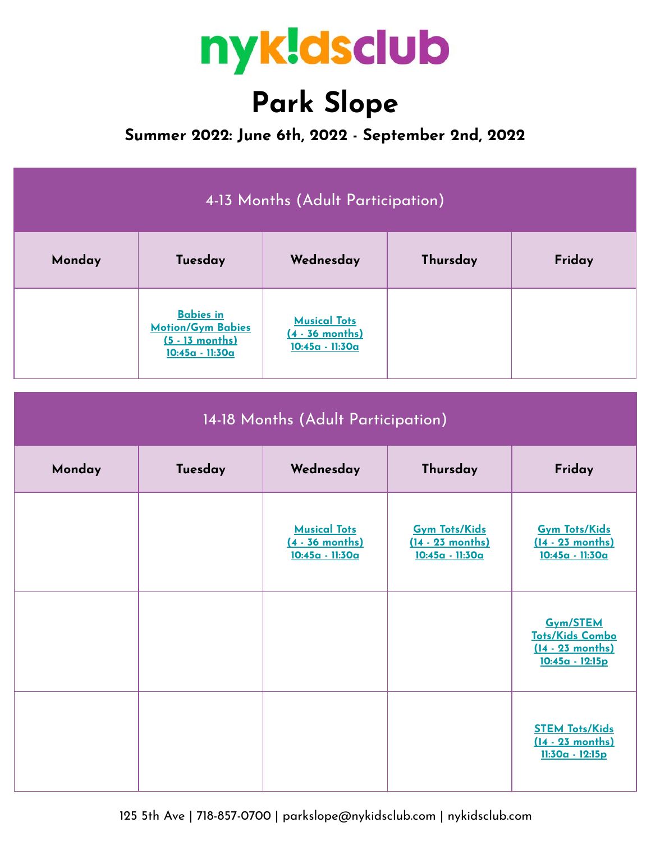

# **Park Slope**

**Summer 2022: June 6th, 2022 - September 2nd, 2022**

| 4-13 Months (Adult Participation)  |                                                                                      |                                                             |                                                               |                                                                       |  |
|------------------------------------|--------------------------------------------------------------------------------------|-------------------------------------------------------------|---------------------------------------------------------------|-----------------------------------------------------------------------|--|
| Monday                             | Tuesday                                                                              | Wednesday                                                   | Thursday                                                      | Friday                                                                |  |
|                                    | <b>Babies in</b><br><b>Motion/Gym Babies</b><br>$(5 - 13$ months)<br>10:45a - 11:30a | <b>Musical Tots</b><br>$(4 - 36$ months)<br>10:45a - 11:30a |                                                               |                                                                       |  |
| 14-18 Months (Adult Participation) |                                                                                      |                                                             |                                                               |                                                                       |  |
| Monday                             | Tuesday                                                                              | Wednesday                                                   | Thursday                                                      | Friday                                                                |  |
|                                    |                                                                                      | <b>Musical Tots</b><br>$(4 - 36$ months)<br>10:45a - 11:30a | <b>Gym Tots/Kids</b><br>$(14 - 23$ months)<br>10:45a - 11:30a | <b>Gym Tots/Kids</b><br>$(14 - 23$ months)<br><u> 10:45a - 11:30a</u> |  |

|  |  | Gym/STEM<br><b>Tots/Kids Combo</b><br>$(14 - 23$ months)<br>$10:45a - 12:15p$ |
|--|--|-------------------------------------------------------------------------------|
|  |  | <b>STEM Tots/Kids</b><br>(14 - 23 months)<br><u> 11:30a - 12:15p</u>          |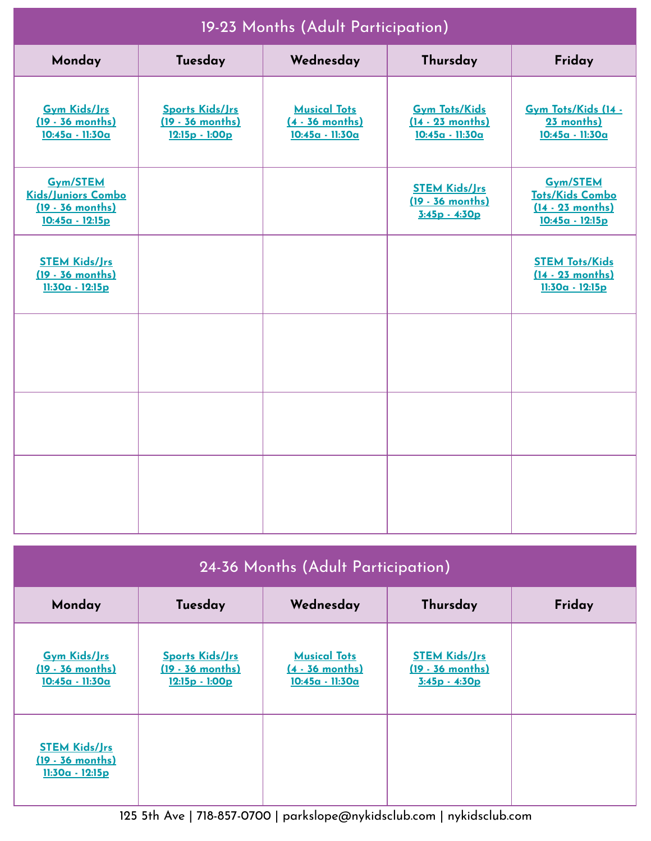| 19-23 Months (Adult Participation)                                                     |                                                                        |                                                                     |                                                                 |                                                                                            |  |
|----------------------------------------------------------------------------------------|------------------------------------------------------------------------|---------------------------------------------------------------------|-----------------------------------------------------------------|--------------------------------------------------------------------------------------------|--|
| Monday                                                                                 | Tuesday                                                                | Wednesday                                                           | Thursday                                                        | Friday                                                                                     |  |
| <b>Gym Kids/Jrs</b><br>$(19 - 36$ months)<br>10:45a - 11:30a                           | <b>Sports Kids/Jrs</b><br>$(19 - 36$ months)<br><u> 12:15p - 1:00p</u> | <b>Musical Tots</b><br>$(4 - 36$ months)<br><u> 10:45a - 11:30a</u> | <b>Gym Tots/Kids</b><br>$(14 - 23$ months)<br>$10:45a - 11:30a$ | Gym Tots/Kids (14 -<br>23 months)<br>10:45a - 11:30a                                       |  |
| <b>Gym/STEM</b><br>Kids/Juniors Combo<br>$(19 - 36$ months)<br><u> 10:45a - 12:15p</u> |                                                                        |                                                                     | <b>STEM Kids/Jrs</b><br>$(19 - 36$ months)<br>$3:45p - 4:30p$   | <b>Gym/STEM</b><br><b>Tots/Kids Combo</b><br>$(14 - 23$ months)<br><u> 10:45a - 12:15p</u> |  |
| <b>STEM Kids/Jrs</b><br>$(19 - 36$ months)<br>$11:30a - 12:15p$                        |                                                                        |                                                                     |                                                                 | <b>STEM Tots/Kids</b><br>$(14 - 23$ months)<br>$11:30a - 12:15p$                           |  |
|                                                                                        |                                                                        |                                                                     |                                                                 |                                                                                            |  |
|                                                                                        |                                                                        |                                                                     |                                                                 |                                                                                            |  |
|                                                                                        |                                                                        |                                                                     |                                                                 |                                                                                            |  |

# 24-36 Months (Adult Participation)

| Monday                                                              | Tuesday                                                        | Wednesday                                                   | Thursday                                                      | Friday |
|---------------------------------------------------------------------|----------------------------------------------------------------|-------------------------------------------------------------|---------------------------------------------------------------|--------|
| <b>Gym Kids/Jrs</b><br>$(19 - 36$ months)<br>10:45a - 11:30a        | <b>Sports Kids/Jrs</b><br>$(19 - 36$ months)<br>12:15p - 1:00p | <b>Musical Tots</b><br>$(4 - 36$ months)<br>10:45a - 11:30a | <b>STEM Kids/Jrs</b><br>$(19 - 36$ months)<br>$3:45p - 4:30p$ |        |
| <b>STEM Kids/Jrs</b><br>(19 - 36 months)<br><u> 11:30a - 12:15p</u> |                                                                |                                                             |                                                               |        |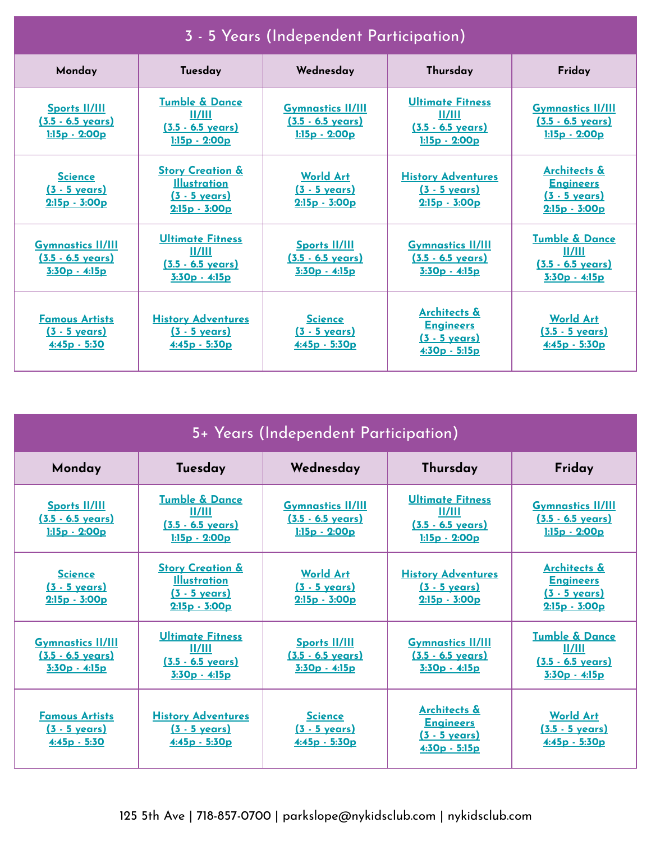| 3 - 5 Years (Independent Participation)                                  |                                                                                                  |                                                                            |                                                                                             |                                                                                           |
|--------------------------------------------------------------------------|--------------------------------------------------------------------------------------------------|----------------------------------------------------------------------------|---------------------------------------------------------------------------------------------|-------------------------------------------------------------------------------------------|
| Monday                                                                   | Tuesday                                                                                          | Wednesday                                                                  | Thursday                                                                                    | Friday                                                                                    |
| <b>Sports II/III</b><br>$(3.5 - 6.5 \text{ years})$<br>$1:15p - 2:00p$   | <b>Tumble &amp; Dance</b><br>11/111<br>$(3.5 - 6.5 \text{ years})$<br>$1:15p - 2:00p$            | <b>Gymnastics II/III</b><br>$(3.5 - 6.5 \text{ years})$<br>$1:15p - 2:00p$ | <b>Ultimate Fitness</b><br>11/111<br>$(3.5 - 6.5 \text{ years})$<br>$1:15p - 2:00p$         | <b>Gymnastics II/III</b><br>$(3.5 - 6.5 \text{ years})$<br>$1:15p - 2:00p$                |
| <b>Science</b><br><u>(3 - 5 years)</u><br>$2:15p - 3:00p$                | <b>Story Creation &amp;</b><br><b>Illustration</b><br>$(3 - 5 \text{ years})$<br>$2:15p - 3:00p$ | <b>World Art</b><br><u>(3 - 5 years)</u><br>$2:15p - 3:00p$                | <b>History Adventures</b><br><u>(3 - 5 years)</u><br>$2:15p - 3:00p$                        | <b>Architects &amp;</b><br><b>Engineers</b><br>$(3 - 5 \text{ years})$<br>$2:15p - 3:00p$ |
| <b>Gymnastics II/III</b><br>$(3.5 - 6.5 \text{ years})$<br>3:30p - 4:15p | <b>Ultimate Fitness</b><br>II/III<br>$(3.5 - 6.5 \text{ years})$<br>$3:30p - 4:15p$              | <b>Sports II/III</b><br><u>(3.5 - 6.5 years)</u><br>$3:30p - 4:15p$        | <b>Gymnastics II/III</b><br>$(3.5 - 6.5 \text{ years})$<br><u> 3:30p - 4:15p</u>            | <b>Tumble &amp; Dance</b><br>II/III<br>$(3.5 - 6.5 \text{ years})$<br>$3:30p - 4:15p$     |
| <b>Famous Artists</b><br><u>(3 - 5 years)</u><br><u>4:45p - 5:30</u>     | <b>History Adventures</b><br>$(3 - 5 \text{ years})$<br><u>4:45p - 5:30p</u>                     | <b>Science</b><br><u>(3 - 5 years)</u><br>$4:45p - 5:30p$                  | <b>Architects &amp;</b><br><b>Engineers</b><br><u>(3 - 5 years)</u><br><u>4:30p - 5:15p</u> | <b>World Art</b><br><u>(3.5 - 5 years)</u><br>$4:45p - 5:30p$                             |

| 5+ Years (Independent Participation)                                     |                                                                                               |                                                                            |                                                                                             |                                                                                              |
|--------------------------------------------------------------------------|-----------------------------------------------------------------------------------------------|----------------------------------------------------------------------------|---------------------------------------------------------------------------------------------|----------------------------------------------------------------------------------------------|
| Monday                                                                   | Tuesday                                                                                       | Wednesday                                                                  | Thursday                                                                                    | Friday                                                                                       |
| <b>Sports II/III</b><br>$(3.5 - 6.5 \text{ years})$<br>$1:15p - 2:00p$   | <b>Tumble &amp; Dance</b><br>11/111<br>$(3.5 - 6.5 \text{ years})$<br>$1:15p - 2:00p$         | <b>Gymnastics II/III</b><br>$(3.5 - 6.5 \text{ years})$<br>$1:15p - 2:00p$ | <b>Ultimate Fitness</b><br>II/III<br>$(3.5 - 6.5 \text{ years})$<br>$1:15p - 2:00p$         | <b>Gymnastics II/III</b><br><u>(3.5 - 6.5 years)</u><br>$1:15p - 2:00p$                      |
| <b>Science</b><br><u>(3 - 5 years)</u><br>$2:15p - 3:00p$                | <b>Story Creation &amp;</b><br><b>Illustration</b><br><u>(3 - 5 vears)</u><br>$2:15p - 3:00p$ | <b>World Art</b><br><u>(3 - 5 years)</u><br>$2:15p - 3:00p$                | <b>History Adventures</b><br><u>(3 - 5 vears)</u><br>$2:15p - 3:00p$                        | <b>Architects &amp;</b><br><b>Engineers</b><br><u>(3 - 5 vears)</u><br>$2:15p - 3:00p$       |
| <b>Gymnastics II/III</b><br>$(3.5 - 6.5 \text{ years})$<br>3:30p - 4:15p | <b>Ultimate Fitness</b><br>II/III<br>$(3.5 - 6.5 \text{ years})$<br>$3:30p - 4:15p$           | <b>Sports II/III</b><br>$(3.5 - 6.5$ years)<br>$3:30p - 4:15p$             | <b>Gymnastics II/III</b><br>$(3.5 - 6.5 \text{ years})$<br><u>3:30p - 4:15p</u>             | <b>Tumble &amp; Dance</b><br><u>II/III</u><br>$(3.5 - 6.5 \text{ years})$<br>$3:30p - 4:15p$ |
| <b>Famous Artists</b><br><u>(3 - 5 years)</u><br><u>4:45p - 5:30</u>     | <b>History Adventures</b><br><u>(3 - 5 years)</u><br><u>4:45p - 5:30p</u>                     | <b>Science</b><br><u>(3 - 5 years)</u><br>$4:45p - 5:30p$                  | <b>Architects &amp;</b><br><b>Engineers</b><br><u>(3 - 5 years)</u><br><u>4:30p - 5:15p</u> | <b>World Art</b><br><u>(3.5 - 5 years)</u><br><u>4:45p - 5:30p</u>                           |